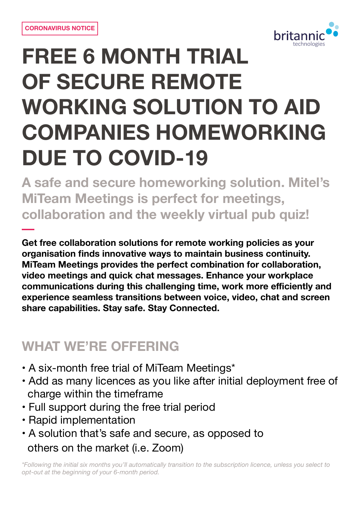

# **FREE 6 MONTH TRIAL OF SECURE REMOTE WORKING SOLUTION TO AID COMPANIES HOMEWORKING DUE TO COVID-19**

**A safe and secure homeworking solution. Mitel's MiTeam Meetings is perfect for meetings, collaboration and the weekly virtual pub quiz!** 

**Get free collaboration solutions for remote working policies as your organisation finds innovative ways to maintain business continuity. MiTeam Meetings provides the perfect combination for collaboration, video meetings and quick chat messages. Enhance your workplace communications during this challenging time, work more efficiently and experience seamless transitions between voice, video, chat and screen share capabilities. Stay safe. Stay Connected.**

#### **WHAT WE'RE OFFERING**

- **•** A six-month free trial of MiTeam Meetings\*
- **•** Add as many licences as you like after initial deployment free of charge within the timeframe
- **•** Full support during the free trial period
- **•** Rapid implementation
- **•** A solution that's safe and secure, as opposed to others on the market (i.e. Zoom)

*\*Following the initial six months you'll automatically transition to the subscription licence, unless you select to opt-out at the beginning of your 6-month period.*